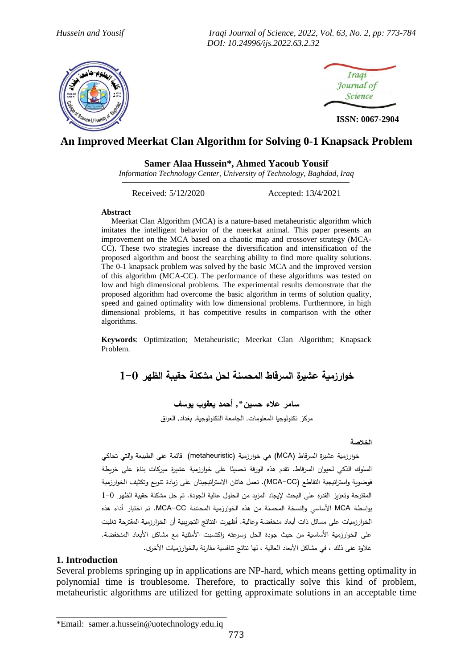*Hussein and Yousif Iraqi Journal of Science, 2022, Vol. 63, No. 2, pp: 773-784 DOI: 10.24996/ijs.2022.63.2.32*





**ISSN: 0067-2904**

# **An Improved Meerkat Clan Algorithm for Solving 0-1 Knapsack Problem**

#### **Samer Alaa Hussein\*, Ahmed Yacoub Yousif**

*Information Technology Center, University of Technology, Baghdad, Iraq* j

Received: 5/12**/**2020 Accepted: 13**/**4/2021

#### **Abstract**

 Meerkat Clan Algorithm (MCA) is a nature-based metaheuristic algorithm which imitates the intelligent behavior of the meerkat animal. This paper presents an improvement on the MCA based on a chaotic map and crossover strategy (MCA-CC). These two strategies increase the diversification and intensification of the proposed algorithm and boost the searching ability to find more quality solutions. The 0-1 knapsack problem was solved by the basic MCA and the improved version of this algorithm (MCA-CC). The performance of these algorithms was tested on low and high dimensional problems. The experimental results demonstrate that the proposed algorithm had overcome the basic algorithm in terms of solution quality, speed and gained optimality with low dimensional problems. Furthermore, in high dimensional problems, it has competitive results in comparison with the other algorithms.

**Keywords**: Optimization; Metaheuristic; Meerkat Clan Algorithm; Knapsack Problem.

**خوارزمية عذيرة الدرقاط المحدنة لحل مذكلة حقيبة الظهر 1-0**

**سامر عالء حدين\*, أحمد يعقوب يوسف**

مركز تكنولوجيا المعلومات, الجامعة التكنولوجية, بغداد, العراق

#### **الخالصة**

خوارزمية عشيرة السرقاط (MCA) هي خوارزمية (metaheuristic) قائمة على الطبيعة والتي تحاكي 'لملوك الذكي لحيوان السرقاط. تقدم هذه الورقة تحسينًا على خوارزمية عشيرة ميركات بناءً على خريطة<br>-فوضوية واستزاتيجية التقاطع (MCA–CC). تعمل هاتان الاستراتيجيتان على زيادة تنويع وتكثيف الخوارزمية المقترحة وتعزيز القدرة على البحث لإيجاد المزيد من الحلول عالية الجودة. تم حل مشكلة حقيبة الظهر 1−0 بواسطة MCA الأساسي والنسخة المحسنة من هذه الخوارزمية المحسّنة MCA−CC. تم اختبار أداء هذه الخوارزميات على مسائل ذات أبعاد منخفضة وعالية. أظهرت النتائج التجرببية أن الخوارزمية المقترحة تغلبت على الخوارزمية الأساسية من حيث جودة الحل وسرعته واكتسبت الأمثلية مع مشاكل الأبعاد المنخفضة. علاوة على ذلك ، في مشاكل الأبعاد العالية ، لها نتائج تنافسية مقارنة بالخوارزميات الأخرى.

### **1. Introduction**

Several problems springing up in applications are NP-hard, which means getting optimality in polynomial time is troublesome. Therefore, to practically solve this kind of problem, metaheuristic algorithms are utilized for getting approximate solutions in an acceptable time

\_\_\_\_\_\_\_\_\_\_\_\_\_\_\_\_\_\_\_\_\_\_\_\_\_\_\_\_\_\_\_\_\_\_\_\_\_\_\_ \*Email: samer.a.hussein@uotechnology.edu.iq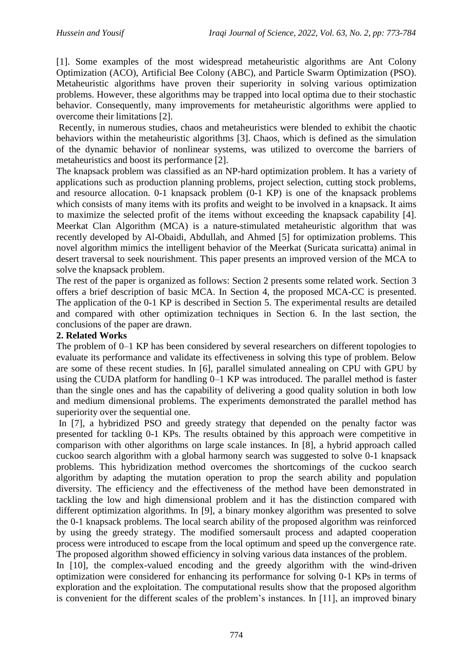[1]. Some examples of the most widespread metaheuristic algorithms are Ant Colony Optimization (ACO), Artificial Bee Colony (ABC), and Particle Swarm Optimization (PSO). Metaheuristic algorithms have proven their superiority in solving various optimization problems. However, these algorithms may be trapped into local optima due to their stochastic behavior. Consequently, many improvements for metaheuristic algorithms were applied to overcome their limitations [2].

Recently, in numerous studies, chaos and metaheuristics were blended to exhibit the chaotic behaviors within the metaheuristic algorithms [3]. Chaos, which is defined as the simulation of the dynamic behavior of nonlinear systems, was utilized to overcome the barriers of metaheuristics and boost its performance [2].

The knapsack problem was classified as an NP-hard optimization problem. It has a variety of applications such as production planning problems, project selection, cutting stock problems, and resource allocation. 0-1 knapsack problem (0-1 KP) is one of the knapsack problems which consists of many items with its profits and weight to be involved in a knapsack. It aims to maximize the selected profit of the items without exceeding the knapsack capability [4]. Meerkat Clan Algorithm (MCA) is a nature-stimulated metaheuristic algorithm that was recently developed by Al-Obaidi, Abdullah, and Ahmed [5] for optimization problems. This novel algorithm mimics the intelligent behavior of the Meerkat (Suricata suricatta) animal in desert traversal to seek nourishment. This paper presents an improved version of the MCA to solve the knapsack problem.

The rest of the paper is organized as follows: Section 2 presents some related work. Section 3 offers a brief description of basic MCA. In Section 4, the proposed MCA-CC is presented. The application of the 0-1 KP is described in Section 5. The experimental results are detailed and compared with other optimization techniques in Section 6. In the last section, the conclusions of the paper are drawn.

## **2. Related Works**

The problem of 0–1 KP has been considered by several researchers on different topologies to evaluate its performance and validate its effectiveness in solving this type of problem. Below are some of these recent studies. In [6], parallel simulated annealing on CPU with GPU by using the CUDA platform for handling 0–1 KP was introduced. The parallel method is faster than the single ones and has the capability of delivering a good quality solution in both low and medium dimensional problems. The experiments demonstrated the parallel method has superiority over the sequential one.

In [7], a hybridized PSO and greedy strategy that depended on the penalty factor was presented for tackling 0-1 KPs. The results obtained by this approach were competitive in comparison with other algorithms on large scale instances. In [8], a hybrid approach called cuckoo search algorithm with a global harmony search was suggested to solve 0-1 knapsack problems. This hybridization method overcomes the shortcomings of the cuckoo search algorithm by adapting the mutation operation to prop the search ability and population diversity. The efficiency and the effectiveness of the method have been demonstrated in tackling the low and high dimensional problem and it has the distinction compared with different optimization algorithms. In [9], a binary monkey algorithm was presented to solve the 0-1 knapsack problems. The local search ability of the proposed algorithm was reinforced by using the greedy strategy. The modified somersault process and adapted cooperation process were introduced to escape from the local optimum and speed up the convergence rate. The proposed algorithm showed efficiency in solving various data instances of the problem.

In [10], the complex-valued encoding and the greedy algorithm with the wind-driven optimization were considered for enhancing its performance for solving 0-1 KPs in terms of exploration and the exploitation. The computational results show that the proposed algorithm is convenient for the different scales of the problem's instances. In [11], an improved binary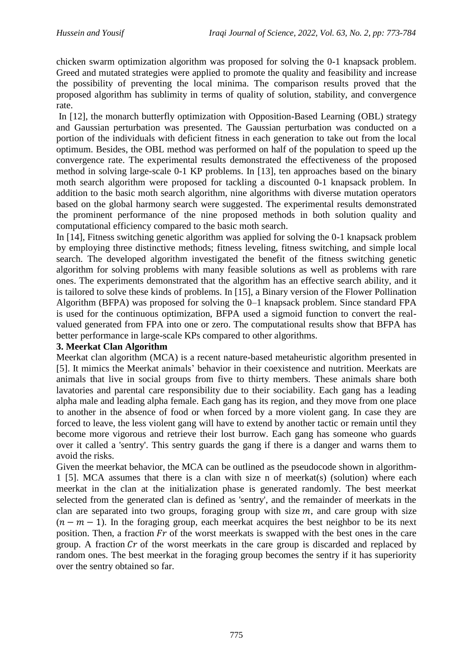chicken swarm optimization algorithm was proposed for solving the 0-1 knapsack problem. Greed and mutated strategies were applied to promote the quality and feasibility and increase the possibility of preventing the local minima. The comparison results proved that the proposed algorithm has sublimity in terms of quality of solution, stability, and convergence rate.

In [12], the monarch butterfly optimization with Opposition-Based Learning (OBL) strategy and Gaussian perturbation was presented. The Gaussian perturbation was conducted on a portion of the individuals with deficient fitness in each generation to take out from the local optimum. Besides, the OBL method was performed on half of the population to speed up the convergence rate. The experimental results demonstrated the effectiveness of the proposed method in solving large-scale 0-1 KP problems. In [13], ten approaches based on the binary moth search algorithm were proposed for tackling a discounted 0-1 knapsack problem. In addition to the basic moth search algorithm, nine algorithms with diverse mutation operators based on the global harmony search were suggested. The experimental results demonstrated the prominent performance of the nine proposed methods in both solution quality and computational efficiency compared to the basic moth search.

In [14], Fitness switching genetic algorithm was applied for solving the 0-1 knapsack problem by employing three distinctive methods; fitness leveling, fitness switching, and simple local search. The developed algorithm investigated the benefit of the fitness switching genetic algorithm for solving problems with many feasible solutions as well as problems with rare ones. The experiments demonstrated that the algorithm has an effective search ability, and it is tailored to solve these kinds of problems. In [15], a Binary version of the Flower Pollination Algorithm (BFPA) was proposed for solving the 0–1 knapsack problem. Since standard FPA is used for the continuous optimization, BFPA used a sigmoid function to convert the realvalued generated from FPA into one or zero. The computational results show that BFPA has better performance in large-scale KPs compared to other algorithms.

## **3. Meerkat Clan Algorithm**

Meerkat clan algorithm (MCA) is a recent nature-based metaheuristic algorithm presented in [5]. It mimics the Meerkat animals' behavior in their coexistence and nutrition. Meerkats are animals that live in social groups from five to thirty members. These animals share both lavatories and parental care responsibility due to their sociability. Each gang has a leading alpha male and leading alpha female. Each gang has its region, and they move from one place to another in the absence of food or when forced by a more violent gang. In case they are forced to leave, the less violent gang will have to extend by another tactic or remain until they become more vigorous and retrieve their lost burrow. Each gang has someone who guards over it called a 'sentry'. This sentry guards the gang if there is a danger and warns them to avoid the risks.

Given the meerkat behavior, the MCA can be outlined as the pseudocode shown in algorithm-1 [5]. MCA assumes that there is a clan with size n of meerkat(s) (solution) where each meerkat in the clan at the initialization phase is generated randomly. The best meerkat selected from the generated clan is defined as 'sentry', and the remainder of meerkats in the clan are separated into two groups, foraging group with size  $m$ , and care group with size  $(n - m - 1)$ . In the foraging group, each meerkat acquires the best neighbor to be its next position. Then, a fraction  $Fr$  of the worst meerkats is swapped with the best ones in the care group. A fraction  $Cr$  of the worst meerkats in the care group is discarded and replaced by random ones. The best meerkat in the foraging group becomes the sentry if it has superiority over the sentry obtained so far.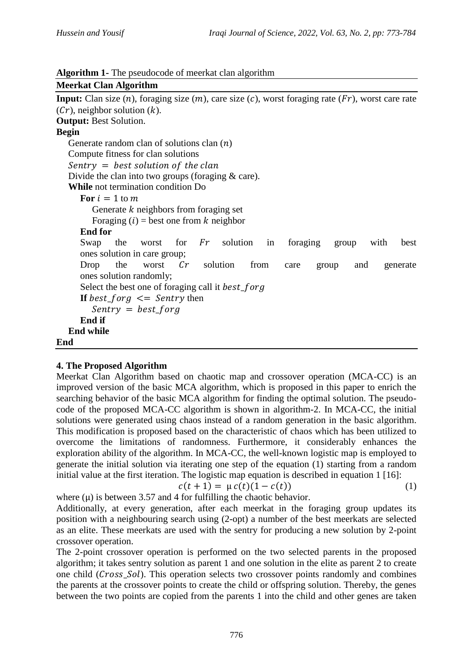| Algorithm 1- The pseudocode of meerkat clan algorithm |  |
|-------------------------------------------------------|--|
|-------------------------------------------------------|--|

```
Meerkat Clan Algorithm
Input: Clan size (n), foraging size (m), care size (c), worst foraging rate (Fr), worst care rate
(Cr), neighbor solution (k).
Output: Best Solution.
Begin
  Generate random clan of solutions clan (n) Compute fitness for clan solutions
  Sentry = best solution of the clan
  Divide the clan into two groups (foraging & care).
   While not termination condition Do
     For i = 1 to m
        Generate k neighbors from foraging set
        Foraging (i) = best one from k neighbor
      End for
Swap the worst for Fr solution in foraging group with best
      ones solution in care group;
Drop the worst Cr solution from care group and generate
      ones solution randomly;
     Select the best one of foraging call it best_forg
     If best for q \leq Sentry then
        Sentry = best forg
      End if
   End while
End
```
## **4. The Proposed Algorithm**

Meerkat Clan Algorithm based on chaotic map and crossover operation (MCA-CC) is an improved version of the basic MCA algorithm, which is proposed in this paper to enrich the searching behavior of the basic MCA algorithm for finding the optimal solution. The pseudocode of the proposed MCA-CC algorithm is shown in algorithm-2. In MCA-CC, the initial solutions were generated using chaos instead of a random generation in the basic algorithm. This modification is proposed based on the characteristic of chaos which has been utilized to overcome the limitations of randomness. Furthermore, it considerably enhances the exploration ability of the algorithm. In MCA-CC, the well-known logistic map is employed to generate the initial solution via iterating one step of the equation (1) starting from a random initial value at the first iteration. The logistic map equation is described in equation 1 [16]:

$$
c(t+1) = \mu c(t)(1 - c(t))
$$
 (1)

where  $(\mu)$  is between 3.57 and 4 for fulfilling the chaotic behavior.

Additionally, at every generation, after each meerkat in the foraging group updates its position with a neighbouring search using (2-opt) a number of the best meerkats are selected as an elite. These meerkats are used with the sentry for producing a new solution by 2-point crossover operation.

The 2-point crossover operation is performed on the two selected parents in the proposed algorithm; it takes sentry solution as parent 1 and one solution in the elite as parent 2 to create one child (*Cross\_Sol*). This operation selects two crossover points randomly and combines the parents at the crossover points to create the child or offspring solution. Thereby, the genes between the two points are copied from the parents 1 into the child and other genes are taken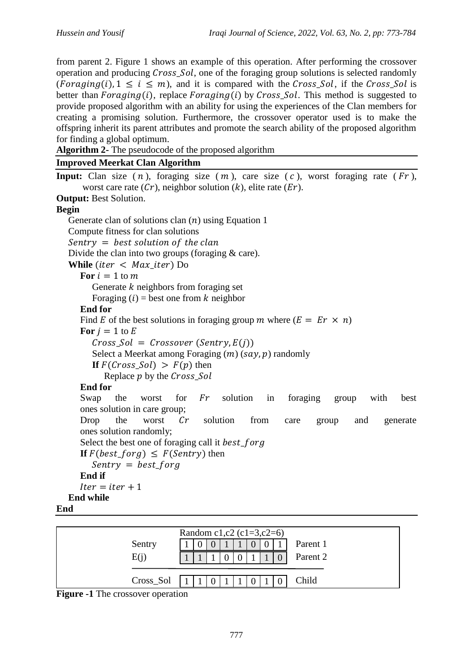from parent 2. Figure 1 shows an example of this operation. After performing the crossover operation and producing *Cross Sol*, one of the foraging group solutions is selected randomly (*Foraging(i)*,  $1 \le i \le m$ ), and it is compared with the *Cross Sol*, if the *Cross Sol* is better than  $Foraging(i)$ , replace  $Foraging(i)$  by  $Cross\_Sol$ . This method is suggested to provide proposed algorithm with an ability for using the experiences of the Clan members for creating a promising solution. Furthermore, the crossover operator used is to make the offspring inherit its parent attributes and promote the search ability of the proposed algorithm for finding a global optimum.

**Algorithm 2-** The pseudocode of the proposed algorithm

# **Improved Meerkat Clan Algorithm**

```
Input: Clan size (n), foraging size (m), care size (c), worst foraging rate (Fr),
      worst care rate (Cr), neighbor solution (k), elite rate (Er).
Output: Best Solution.
Begin
  Generate clan of solutions clan (n) using Equation 1
   Compute fitness for clan solutions
  Sentry = best solution of the clanDivide the clan into two groups (foraging & care).
  While (iter \langle Max\_iter \rangle Do
     For i = 1 to mGenerate k neighbors from foraging set
        Foraging (i) = best one from k neighbor
      End for
     Find E of the best solutions in foraging group m where (E = E r \times n)For i = 1 to E
        Cross\_Sol = Crossover (Sentry, E(i))Select a Meerkat among Foraging (m) (say, p) randomly
        If F(Cross\_Sol) > F(p) then
           Replace p by the Cross Sol
      End for
Swap the worst for Fr solution in foraging group with best
      ones solution in care group;
Drop the worst Cr solution from care group and generate
      ones solution randomly;
     Select the best one of foraging call it best_forg
     If F(best\_forg) \leq F(Sentry) then
        Sentry = best_forg
      End if
     Iter = iter + 1 End while
End
```


**Figure -1** The crossover operation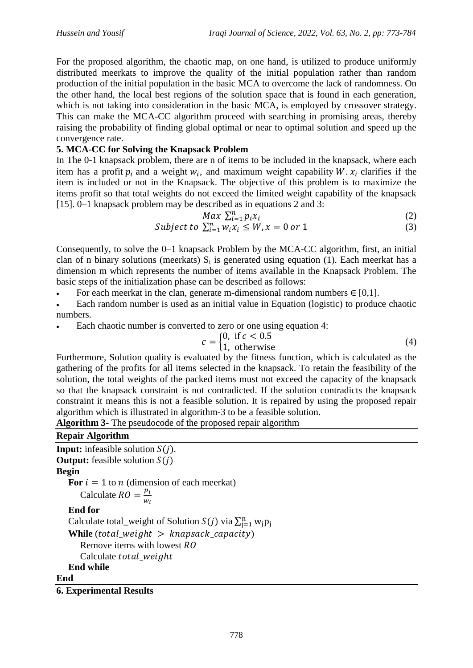For the proposed algorithm, the chaotic map, on one hand, is utilized to produce uniformly distributed meerkats to improve the quality of the initial population rather than random production of the initial population in the basic MCA to overcome the lack of randomness. On the other hand, the local best regions of the solution space that is found in each generation, which is not taking into consideration in the basic MCA, is employed by crossover strategy. This can make the MCA-CC algorithm proceed with searching in promising areas, thereby raising the probability of finding global optimal or near to optimal solution and speed up the convergence rate.

## **5. MCA-CC for Solving the Knapsack Problem**

In The 0-1 knapsack problem, there are n of items to be included in the knapsack, where each item has a profit  $p_i$  and a weight  $w_i$ , and maximum weight capability W.  $x_i$  clarifies if the item is included or not in the Knapsack. The objective of this problem is to maximize the items profit so that total weights do not exceed the limited weight capability of the knapsack [15]. 0–1 knapsack problem may be described as in equations 2 and 3:

$$
Max \ \sum_{i=1}^{n} p_i x_i \tag{2}
$$

$$
Subject to \sum_{i=1}^{n} w_i x_i \le W, x = 0 \text{ or } 1
$$
 (3)

Consequently, to solve the 0–1 knapsack Problem by the MCA-CC algorithm, first, an initial clan of n binary solutions (meerkats)  $S_i$  is generated using equation (1). Each meerkat has a dimension m which represents the number of items available in the Knapsack Problem. The basic steps of the initialization phase can be described as follows:

- For each meerkat in the clan, generate m-dimensional random numbers  $\in [0,1]$ .
- Each random number is used as an initial value in Equation (logistic) to produce chaotic numbers.
- Each chaotic number is converted to zero or one using equation 4:

$$
c = \begin{cases} 0, & \text{if } c < 0.5 \\ 1, & \text{otherwise} \end{cases} \tag{4}
$$

Furthermore, Solution quality is evaluated by the fitness function, which is calculated as the gathering of the profits for all items selected in the knapsack. To retain the feasibility of the solution, the total weights of the packed items must not exceed the capacity of the knapsack so that the knapsack constraint is not contradicted. If the solution contradicts the knapsack constraint it means this is not a feasible solution. It is repaired by using the proposed repair algorithm which is illustrated in algorithm-3 to be a feasible solution.

**Algorithm 3-** The pseudocode of the proposed repair algorithm

**Repair Algorithm Input:** infeasible solution  $S(i)$ . **Output:** feasible solution  $S(i)$ **Begin For**  $i = 1$  to  $n$  (dimension of each meerkat) Calculate  $RO = \frac{p}{q}$ w  **End for** Calculate total\_weight of Solution  $S(j)$  via  $\sum_{j=1}^{n} w$ **While** (total weight  $>$  knapsack capacity) **Remove items with lowest RO** Calculate total weight  **End while End**

### **6. Experimental Results**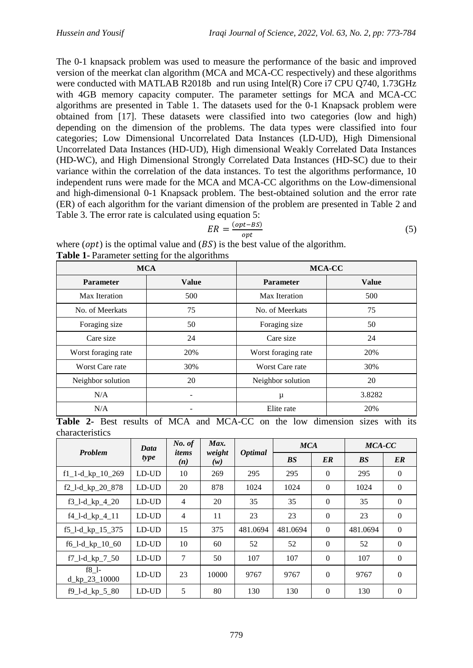The 0-1 knapsack problem was used to measure the performance of the basic and improved version of the meerkat clan algorithm (MCA and MCA-CC respectively) and these algorithms were conducted with MATLAB R2018b and run using Intel(R) Core i7 CPU Q740, 1.73GHz with 4GB memory capacity computer. The parameter settings for MCA and MCA-CC algorithms are presented in Table 1. The datasets used for the 0-1 Knapsack problem were obtained from [17]. These datasets were classified into two categories (low and high) depending on the dimension of the problems. The data types were classified into four categories; Low Dimensional Uncorrelated Data Instances (LD-UD), High Dimensional Uncorrelated Data Instances (HD-UD), High dimensional Weakly Correlated Data Instances (HD-WC), and High Dimensional Strongly Correlated Data Instances (HD-SC) due to their variance within the correlation of the data instances. To test the algorithms performance, 10 independent runs were made for the MCA and MCA-CC algorithms on the Low-dimensional and high-dimensional 0-1 Knapsack problem. The best-obtained solution and the error rate (ER) of each algorithm for the variant dimension of the problem are presented in Table 2 and Table 3. The error rate is calculated using equation 5:

$$
ER = \frac{(opt - BS)}{opt} \tag{5}
$$

| <b>MCA</b>          |              | MCA-CC              |              |  |  |
|---------------------|--------------|---------------------|--------------|--|--|
| <b>Parameter</b>    | <b>Value</b> | <b>Parameter</b>    | <b>Value</b> |  |  |
| Max Iteration       | 500          | Max Iteration       | 500          |  |  |
| No. of Meerkats     | 75           | No. of Meerkats     | 75           |  |  |
| Foraging size       | 50           | Foraging size       | 50           |  |  |
| Care size           | 24           | Care size           | 24           |  |  |
| Worst foraging rate | 20%          | Worst foraging rate | 20%          |  |  |
| Worst Care rate     | 30%          | Worst Care rate     | 30%          |  |  |
| Neighbor solution   | 20           | Neighbor solution   | 20           |  |  |
| N/A                 | -            | μ                   | 3.8282       |  |  |
| N/A                 |              | Elite rate          | 20%          |  |  |

where  $(opt)$  is the optimal value and  $(BS)$  is the best value of the algorithm. **Table 1-** Parameter setting for the algorithms

**Table 2-** Best results of MCA and MCA-CC on the low dimension sizes with its characteristics

|                                                        | Data  | No. of         | Max.          |                       |           | <b>MCA</b>   |           | MCA-CC         |  |
|--------------------------------------------------------|-------|----------------|---------------|-----------------------|-----------|--------------|-----------|----------------|--|
| <b>Problem</b>                                         | type  | items<br>(n)   | weight<br>(w) | <i><b>Optimal</b></i> | <b>BS</b> | ER           | <b>BS</b> | ER             |  |
| $f1_1-d_kp_10_269$                                     | LD-UD | 10             | 269           | 295                   | 295       | $\Omega$     | 295       | $\Omega$       |  |
| $f2_l-d_kp_20_878$                                     | LD-UD | 20             | 878           | 1024                  | 1024      | $\mathbf{0}$ | 1024      | $\overline{0}$ |  |
| $f3_l-d_kp_4_20$                                       | LD-UD | $\overline{4}$ | 20            | 35                    | 35        | $\Omega$     | 35        | $\theta$       |  |
| $f4_l-d_kp_4_l1$                                       | LD-UD | $\overline{4}$ | 11            | 23                    | 23        | $\Omega$     | 23        | $\Omega$       |  |
| f5_l-d_kp_15_375                                       | LD-UD | 15             | 375           | 481.0694              | 481.0694  | $\Omega$     | 481.0694  | $\Omega$       |  |
| $f6$ <sup>-1</sup> -d <sub>-kp</sub> <sup>10</sup> -60 | LD-UD | 10             | 60            | 52                    | 52        | $\mathbf{0}$ | 52        | $\overline{0}$ |  |
| $f7_l-d_kp_750$                                        | LD-UD | 7              | 50            | 107                   | 107       | $\Omega$     | 107       | $\Omega$       |  |
| $f8$ 1-<br>$d$ <sub>_</sub> kp_23_10000                | LD-UD | 23             | 10000         | 9767                  | 9767      | $\theta$     | 9767      | $\Omega$       |  |
| $f9_l-d_kp_5_80$                                       | LD-UD | 5              | 80            | 130                   | 130       | $\theta$     | 130       | $\overline{0}$ |  |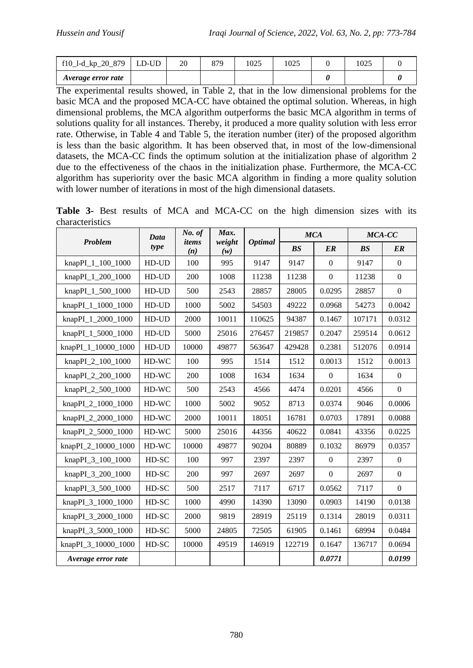| f10_l-d_kp_20_879  | LD-UD | า∩ | 87Q<br>O 1 | 025 | 1025 | 025 |  |
|--------------------|-------|----|------------|-----|------|-----|--|
| Average error rate |       |    |            |     |      |     |  |

The experimental results showed, in Table 2, that in the low dimensional problems for the basic MCA and the proposed MCA-CC have obtained the optimal solution. Whereas, in high dimensional problems, the MCA algorithm outperforms the basic MCA algorithm in terms of solutions quality for all instances. Thereby, it produced a more quality solution with less error rate. Otherwise, in Table 4 and Table 5, the iteration number (iter) of the proposed algorithm is less than the basic algorithm. It has been observed that, in most of the low-dimensional datasets, the MCA-CC finds the optimum solution at the initialization phase of algorithm 2 due to the effectiveness of the chaos in the initialization phase. Furthermore, the MCA-CC algorithm has superiority over the basic MCA algorithm in finding a more quality solution with lower number of iterations in most of the high dimensional datasets.

**Table 3-** Best results of MCA and MCA-CC on the high dimension sizes with its characteristics

| <b>Problem</b>      | <b>Data</b> | No. of<br>items | Max.<br>weight |                | <b>MCA</b> |              | MCA-CC |                |
|---------------------|-------------|-----------------|----------------|----------------|------------|--------------|--------|----------------|
|                     | type        | (n)             | (w)            | <b>Optimal</b> | BS         | ER           | BS     | ER             |
| knapPI_1_100_1000   | HD-UD       | 100             | 995            | 9147           | 9147       | $\mathbf{0}$ | 9147   | $\overline{0}$ |
| knapPI_1_200_1000   | HD-UD       | 200             | 1008           | 11238          | 11238      | $\mathbf{0}$ | 11238  | $\overline{0}$ |
| knapPI_1_500_1000   | HD-UD       | 500             | 2543           | 28857          | 28005      | 0.0295       | 28857  | $\overline{0}$ |
| knapPI_1_1000_1000  | HD-UD       | 1000            | 5002           | 54503          | 49222      | 0.0968       | 54273  | 0.0042         |
| knapPI_1_2000_1000  | HD-UD       | 2000            | 10011          | 110625         | 94387      | 0.1467       | 107171 | 0.0312         |
| knapPI_1_5000_1000  | HD-UD       | 5000            | 25016          | 276457         | 219857     | 0.2047       | 259514 | 0.0612         |
| knapPI_1_10000_1000 | HD-UD       | 10000           | 49877          | 563647         | 429428     | 0.2381       | 512076 | 0.0914         |
| knapPI_2_100_1000   | HD-WC       | 100             | 995            | 1514           | 1512       | 0.0013       | 1512   | 0.0013         |
| knapPI_2_200_1000   | HD-WC       | 200             | 1008           | 1634           | 1634       | $\mathbf{0}$ | 1634   | $\overline{0}$ |
| knapPI_2_500_1000   | HD-WC       | 500             | 2543           | 4566           | 4474       | 0.0201       | 4566   | $\overline{0}$ |
| knapPI_2_1000_1000  | HD-WC       | 1000            | 5002           | 9052           | 8713       | 0.0374       | 9046   | 0.0006         |
| knapPI_2_2000_1000  | HD-WC       | 2000            | 10011          | 18051          | 16781      | 0.0703       | 17891  | 0.0088         |
| knapPI_2_5000_1000  | HD-WC       | 5000            | 25016          | 44356          | 40622      | 0.0841       | 43356  | 0.0225         |
| knapPI_2_10000_1000 | HD-WC       | 10000           | 49877          | 90204          | 80889      | 0.1032       | 86979  | 0.0357         |
| knapPI_3_100_1000   | HD-SC       | 100             | 997            | 2397           | 2397       | $\Omega$     | 2397   | $\overline{0}$ |
| knapPI_3_200_1000   | HD-SC       | 200             | 997            | 2697           | 2697       | $\mathbf{0}$ | 2697   | $\overline{0}$ |
| knapPI_3_500_1000   | HD-SC       | 500             | 2517           | 7117           | 6717       | 0.0562       | 7117   | $\overline{0}$ |
| knapPI_3_1000_1000  | HD-SC       | 1000            | 4990           | 14390          | 13090      | 0.0903       | 14190  | 0.0138         |
| knapPI_3_2000_1000  | HD-SC       | 2000            | 9819           | 28919          | 25119      | 0.1314       | 28019  | 0.0311         |
| knapPI_3_5000_1000  | HD-SC       | 5000            | 24805          | 72505          | 61905      | 0.1461       | 68994  | 0.0484         |
| knapPI_3_10000_1000 | HD-SC       | 10000           | 49519          | 146919         | 122719     | 0.1647       | 136717 | 0.0694         |
| Average error rate  |             |                 |                |                |            | 0.0771       |        | 0.0199         |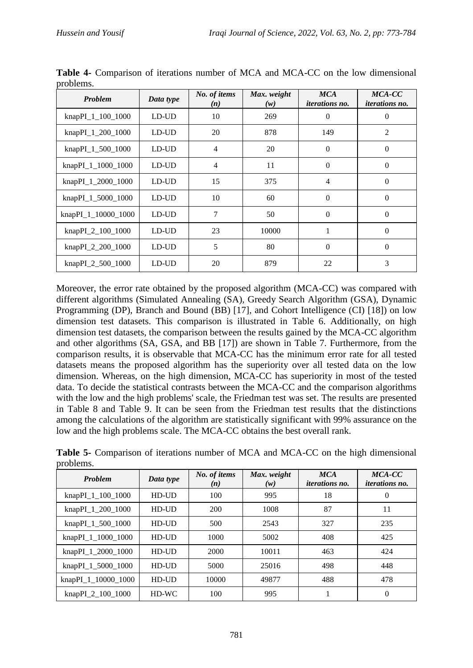| Problem             | Data type   | No. of items<br>(n) | Max. weight<br>(w) | <b>MCA</b><br><i>iterations no.</i> | MCA-CC<br><i>iterations no.</i> |
|---------------------|-------------|---------------------|--------------------|-------------------------------------|---------------------------------|
| knapPI_1_100_1000   | $LD$ - $UD$ | 10                  | 269                | $\theta$                            | $\theta$                        |
| knapPI_1_200_1000   | LD-UD       | 20                  | 878                | 149                                 | 2                               |
| knapPI_1_500_1000   | LD-UD       | $\overline{4}$      | 20                 | $\mathbf{0}$                        | $\Omega$                        |
| knapPI_1_1000_1000  | LD-UD       | 4                   | 11                 | $\boldsymbol{0}$                    | $\overline{0}$                  |
| knapPI_1_2000_1000  | LD-UD       | 15                  | 375                | $\overline{4}$                      | $\Omega$                        |
| knapPI_1_5000_1000  | LD-UD       | 10                  | 60                 | $\theta$                            | $\Omega$                        |
| knapPI_1_10000_1000 | LD-UD       | 7                   | 50                 | $\Omega$                            | $\Omega$                        |
| knapPI_2_100_1000   | LD-UD       | 23                  | 10000              | 1                                   | $\Omega$                        |
| knapPI_2_200_1000   | LD-UD       | 5                   | 80                 | $\theta$                            | $\Omega$                        |
| knapPI_2_500_1000   | LD-UD       | 20                  | 879                | 22                                  | 3                               |

**Table 4-** Comparison of iterations number of MCA and MCA-CC on the low dimensional problems.

Moreover, the error rate obtained by the proposed algorithm (MCA-CC) was compared with different algorithms (Simulated Annealing (SA), Greedy Search Algorithm (GSA), Dynamic Programming (DP), Branch and Bound (BB) [17], and Cohort Intelligence (CI) [18]) on low dimension test datasets. This comparison is illustrated in Table 6. Additionally, on high dimension test datasets, the comparison between the results gained by the MCA-CC algorithm and other algorithms (SA, GSA, and BB [17]) are shown in Table 7. Furthermore, from the comparison results, it is observable that MCA-CC has the minimum error rate for all tested datasets means the proposed algorithm has the superiority over all tested data on the low dimension. Whereas, on the high dimension, MCA-CC has superiority in most of the tested data. To decide the statistical contrasts between the MCA-CC and the comparison algorithms with the low and the high problems' scale, the Friedman test was set. The results are presented in Table 8 and Table 9. It can be seen from the Friedman test results that the distinctions among the calculations of the algorithm are statistically significant with 99% assurance on the low and the high problems scale. The MCA-CC obtains the best overall rank.

|           | Table 5- Comparison of iterations number of MCA and MCA-CC on the high dimensional |  |  |  |
|-----------|------------------------------------------------------------------------------------|--|--|--|
| problems. |                                                                                    |  |  |  |

| <b>Problem</b>       | Data type   | No. of items<br>(n) | Max. weight<br>(w) | <b>MCA</b><br><i>iterations no.</i> | MCA-CC<br><i>iterations no.</i> |
|----------------------|-------------|---------------------|--------------------|-------------------------------------|---------------------------------|
| knap $PI_1_100_1000$ | $HD$ - $UD$ | 100                 | 995                | 18                                  | $\theta$                        |
| knapPI_1_200_1000    | $HD$ - $UD$ | 200                 | 1008               | 87                                  | 11                              |
| knap $PI_1_500_1000$ | $HD$ - $UD$ | 500                 | 2543               | 327                                 | 235                             |
| knapPI_1_1000_1000   | $HD$ - $UD$ | 1000                | 5002               | 408                                 | 425                             |
| knapPI_1_2000_1000   | $HD$ -UD    | 2000                | 10011              | 463                                 | 424                             |
| knapPI_1_5000_1000   | $HD$ -UD    | 5000                | 25016              | 498                                 | 448                             |
| knapPI_1_10000_1000  | $HD$ -UD    | 10000               | 49877              | 488                                 | 478                             |
| knapPI_2_100_1000    | $HD-WC$     | 100                 | 995                |                                     | $\theta$                        |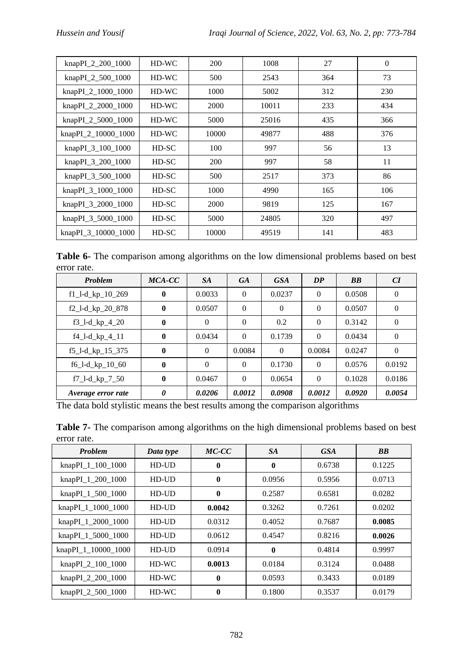| knapPI_2_200_1000   | $HD-WC$ | 200   | 1008  | 27  | $\theta$ |
|---------------------|---------|-------|-------|-----|----------|
| knapPI_2_500_1000   | $HD-WC$ | 500   | 2543  | 364 | 73       |
| knapPI_2_1000_1000  | $HD-WC$ | 1000  | 5002  | 312 | 230      |
| knapPI_2_2000_1000  | $HD-WC$ | 2000  | 10011 | 233 | 434      |
| knapPI_2_5000_1000  | $HD-WC$ | 5000  | 25016 | 435 | 366      |
| knapPI_2_10000_1000 | $HD-WC$ | 10000 | 49877 | 488 | 376      |
| knapPI_3_100_1000   | HD-SC   | 100   | 997   | 56  | 13       |
| knapPI_3_200_1000   | HD-SC   | 200   | 997   | 58  | 11       |
| knapPI_3_500_1000   | HD-SC   | 500   | 2517  | 373 | 86       |
| knapPI_3_1000_1000  | HD-SC   | 1000  | 4990  | 165 | 106      |
| knapPI_3_2000_1000  | HD-SC   | 2000  | 9819  | 125 | 167      |
| knapPI_3_5000_1000  | HD-SC   | 5000  | 24805 | 320 | 497      |
| knapPI_3_10000_1000 | HD-SC   | 10000 | 49519 | 141 | 483      |

**Table 6-** The comparison among algorithms on the low dimensional problems based on best error rate.

| <b>Problem</b>     | MCA-CC   | <b>SA</b> | <b>GA</b> | <b>GSA</b> | DP       | <b>BB</b> | CI       |
|--------------------|----------|-----------|-----------|------------|----------|-----------|----------|
| $f1_l-d_kp_10_269$ | $\bf{0}$ | 0.0033    | $\Omega$  | 0.0237     | $\theta$ | 0.0508    | $\theta$ |
| $f2_l-d_kp_20_878$ | $\bf{0}$ | 0.0507    | $\Omega$  | $\Omega$   | $\theta$ | 0.0507    | $\theta$ |
| $f3_l-d_kp_4_20$   | $\bf{0}$ | $\Omega$  | $\Omega$  | 0.2        | $\Omega$ | 0.3142    | $\theta$ |
| $f4_l-d_kp_4_l1$   | $\bf{0}$ | 0.0434    | $\Omega$  | 0.1739     | $\Omega$ | 0.0434    | $\Omega$ |
| $f5_l-d_kp_15_375$ | $\bf{0}$ | $\Omega$  | 0.0084    | $\Omega$   | 0.0084   | 0.0247    | $\Omega$ |
| $f6_l-d_kp_l0_60$  | $\bf{0}$ | $\Omega$  | $\Omega$  | 0.1730     | $\Omega$ | 0.0576    | 0.0192   |
| $f7_l-d_kp_7_50$   | $\bf{0}$ | 0.0467    | $\Omega$  | 0.0654     | $\Omega$ | 0.1028    | 0.0186   |
| Average error rate | 0        | 0.0206    | 0.0012    | 0.0908     | 0.0012   | 0.0920    | 0.0054   |

The data bold stylistic means the best results among the comparison algorithms

| <b>Problem</b>      | Data type | MC-CC        | <b>SA</b>    | <b>GSA</b> | <b>BB</b> |
|---------------------|-----------|--------------|--------------|------------|-----------|
| knapPI_1_100_1000   | $HD$ -UD  | $\mathbf{0}$ | $\mathbf{0}$ | 0.6738     | 0.1225    |
| knapPI_1_200_1000   | $HD$ -UD  | $\mathbf{0}$ | 0.0956       | 0.5956     | 0.0713    |
| knapPI_1_500_1000   | $HD$ -UD  | $\mathbf{0}$ | 0.2587       | 0.6581     | 0.0282    |
| knapPI_1_1000_1000  | $HD$ -UD  | 0.0042       | 0.3262       | 0.7261     | 0.0202    |
| knapPI_1_2000_1000  | $HD$ -UD  | 0.0312       | 0.4052       | 0.7687     | 0.0085    |
| knapPI_1_5000_1000  | $HD$ -UD  | 0.0612       | 0.4547       | 0.8216     | 0.0026    |
| knapPI_1_10000_1000 | $HD$ -UD  | 0.0914       | $\bf{0}$     | 0.4814     | 0.9997    |
| knapPI_2_100_1000   | $HD-WC$   | 0.0013       | 0.0184       | 0.3124     | 0.0488    |
| knapPI_2_200_1000   | HD-WC     | $\mathbf{0}$ | 0.0593       | 0.3433     | 0.0189    |
| knapPI_2_500_1000   | $HD-WC$   | $\mathbf{0}$ | 0.1800       | 0.3537     | 0.0179    |

**Table 7-** The comparison among algorithms on the high dimensional problems based on best error rate.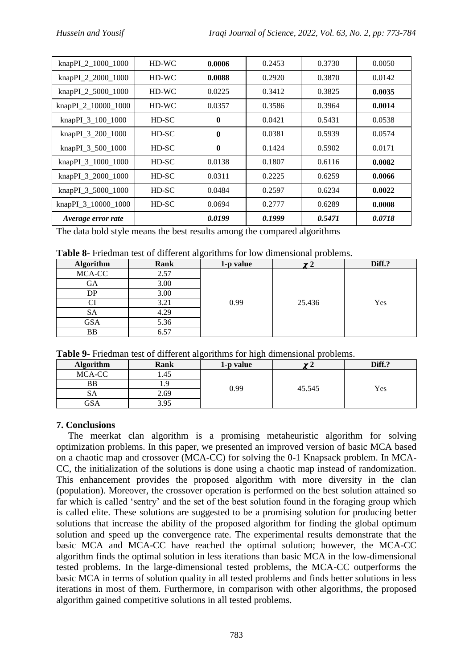| knapPI_2_1000_1000  | $HD-WC$ | 0.0006           | 0.2453 | 0.3730 | 0.0050 |
|---------------------|---------|------------------|--------|--------|--------|
| knapPI_2_2000_1000  | $HD-WC$ | 0.0088           | 0.2920 | 0.3870 | 0.0142 |
| knapPI_2_5000_1000  | $HD-WC$ | 0.0225           | 0.3412 | 0.3825 | 0.0035 |
| knapPI_2_10000_1000 | HD-WC   | 0.0357           | 0.3586 | 0.3964 | 0.0014 |
| knapPI_3_100_1000   | HD-SC   | $\mathbf 0$      | 0.0421 | 0.5431 | 0.0538 |
| knapPI_3_200_1000   | HD-SC   | $\mathbf 0$      | 0.0381 | 0.5939 | 0.0574 |
| knapPI_3_500_1000   | HD-SC   | $\boldsymbol{0}$ | 0.1424 | 0.5902 | 0.0171 |
| knapPI_3_1000_1000  | HD-SC   | 0.0138           | 0.1807 | 0.6116 | 0.0082 |
| knapPI_3_2000_1000  | HD-SC   | 0.0311           | 0.2225 | 0.6259 | 0.0066 |
| knapPI_3_5000_1000  | HD-SC   | 0.0484           | 0.2597 | 0.6234 | 0.0022 |
| knapPI_3_10000_1000 | HD-SC   | 0.0694           | 0.2777 | 0.6289 | 0.0008 |
| Average error rate  |         | 0.0199           | 0.1999 | 0.5471 | 0.0718 |

The data bold style means the best results among the compared algorithms

| Table 8- Friedman test of different algorithms for low dimensional problems. |  |
|------------------------------------------------------------------------------|--|
|------------------------------------------------------------------------------|--|

| <b>Algorithm</b> | Rank | $\tilde{}$<br>1-p value | $\overline{\phantom{a}}$ | Diff.? |
|------------------|------|-------------------------|--------------------------|--------|
| MCA-CC           | 2.57 |                         |                          |        |
| GА               | 3.00 |                         |                          |        |
| DP               | 3.00 |                         |                          |        |
|                  | 3.21 | 0.99                    | 25.436                   | Yes    |
| SА               | 4.29 |                         |                          |        |
| <b>GSA</b>       | 5.36 |                         |                          |        |
| BB               | 6.57 |                         |                          |        |

|  |  |  | Table 9- Friedman test of different algorithms for high dimensional problems. |  |
|--|--|--|-------------------------------------------------------------------------------|--|
|  |  |  |                                                                               |  |

| <b>Algorithm</b> | Rank | 1-p value | $\sim$ | Diff.? |
|------------------|------|-----------|--------|--------|
| MCA-CC           | 1.45 |           |        |        |
| ВB               | .    | 0.99      |        |        |
| DА               | 2.69 |           | 45.545 | Yes    |
| GSA              | 3.95 |           |        |        |

## **7. Conclusions**

 The meerkat clan algorithm is a promising metaheuristic algorithm for solving optimization problems. In this paper, we presented an improved version of basic MCA based on a chaotic map and crossover (MCA-CC) for solving the 0-1 Knapsack problem. In MCA-CC, the initialization of the solutions is done using a chaotic map instead of randomization. This enhancement provides the proposed algorithm with more diversity in the clan (population). Moreover, the crossover operation is performed on the best solution attained so far which is called 'sentry' and the set of the best solution found in the foraging group which is called elite. These solutions are suggested to be a promising solution for producing better solutions that increase the ability of the proposed algorithm for finding the global optimum solution and speed up the convergence rate. The experimental results demonstrate that the basic MCA and MCA-CC have reached the optimal solution; however, the MCA-CC algorithm finds the optimal solution in less iterations than basic MCA in the low-dimensional tested problems. In the large-dimensional tested problems, the MCA-CC outperforms the basic MCA in terms of solution quality in all tested problems and finds better solutions in less iterations in most of them. Furthermore, in comparison with other algorithms, the proposed algorithm gained competitive solutions in all tested problems.